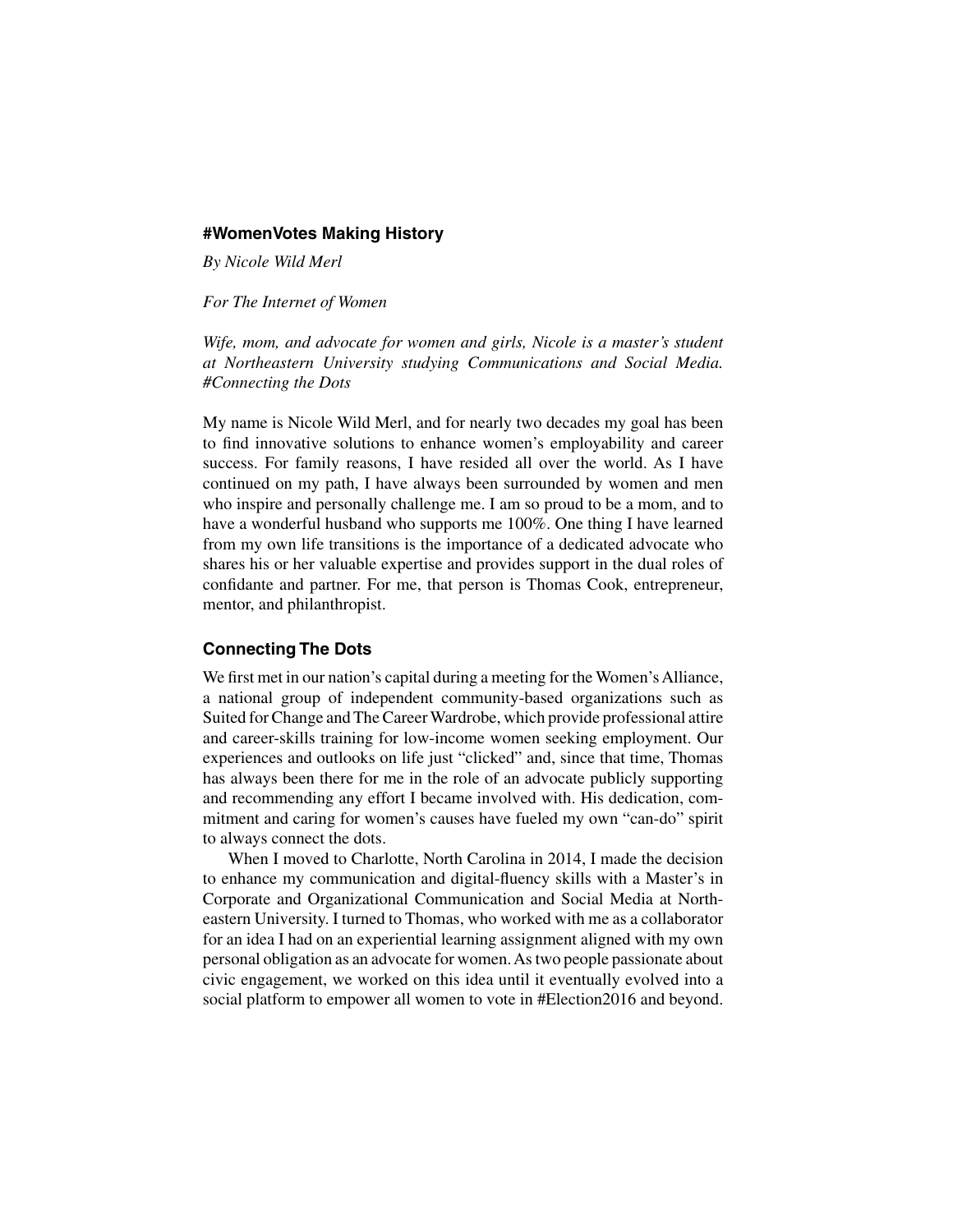#### **#WomenVotes Making History**

*By Nicole Wild Merl*

*For The Internet of Women*

*Wife, mom, and advocate for women and girls, Nicole is a master's student at Northeastern University studying Communications and Social Media. #Connecting the Dots*

My name is Nicole Wild Merl, and for nearly two decades my goal has been to find innovative solutions to enhance women's employability and career success. For family reasons, I have resided all over the world. As I have continued on my path, I have always been surrounded by women and men who inspire and personally challenge me. I am so proud to be a mom, and to have a wonderful husband who supports me 100%. One thing I have learned from my own life transitions is the importance of a dedicated advocate who shares his or her valuable expertise and provides support in the dual roles of confidante and partner. For me, that person is Thomas Cook, entrepreneur, mentor, and philanthropist.

# **Connecting The Dots**

We first met in our nation's capital during a meeting for the Women's Alliance, a national group of independent community-based organizations such as Suited for Change and The Career Wardrobe, which provide professional attire and career-skills training for low-income women seeking employment. Our experiences and outlooks on life just "clicked" and, since that time, Thomas has always been there for me in the role of an advocate publicly supporting and recommending any effort I became involved with. His dedication, commitment and caring for women's causes have fueled my own "can-do" spirit to always connect the dots.

When I moved to Charlotte, North Carolina in 2014, I made the decision to enhance my communication and digital-fluency skills with a Master's in Corporate and Organizational Communication and Social Media at Northeastern University. I turned to Thomas, who worked with me as a collaborator for an idea I had on an experiential learning assignment aligned with my own personal obligation as an advocate for women.As two people passionate about civic engagement, we worked on this idea until it eventually evolved into a social platform to empower all women to vote in #Election2016 and beyond.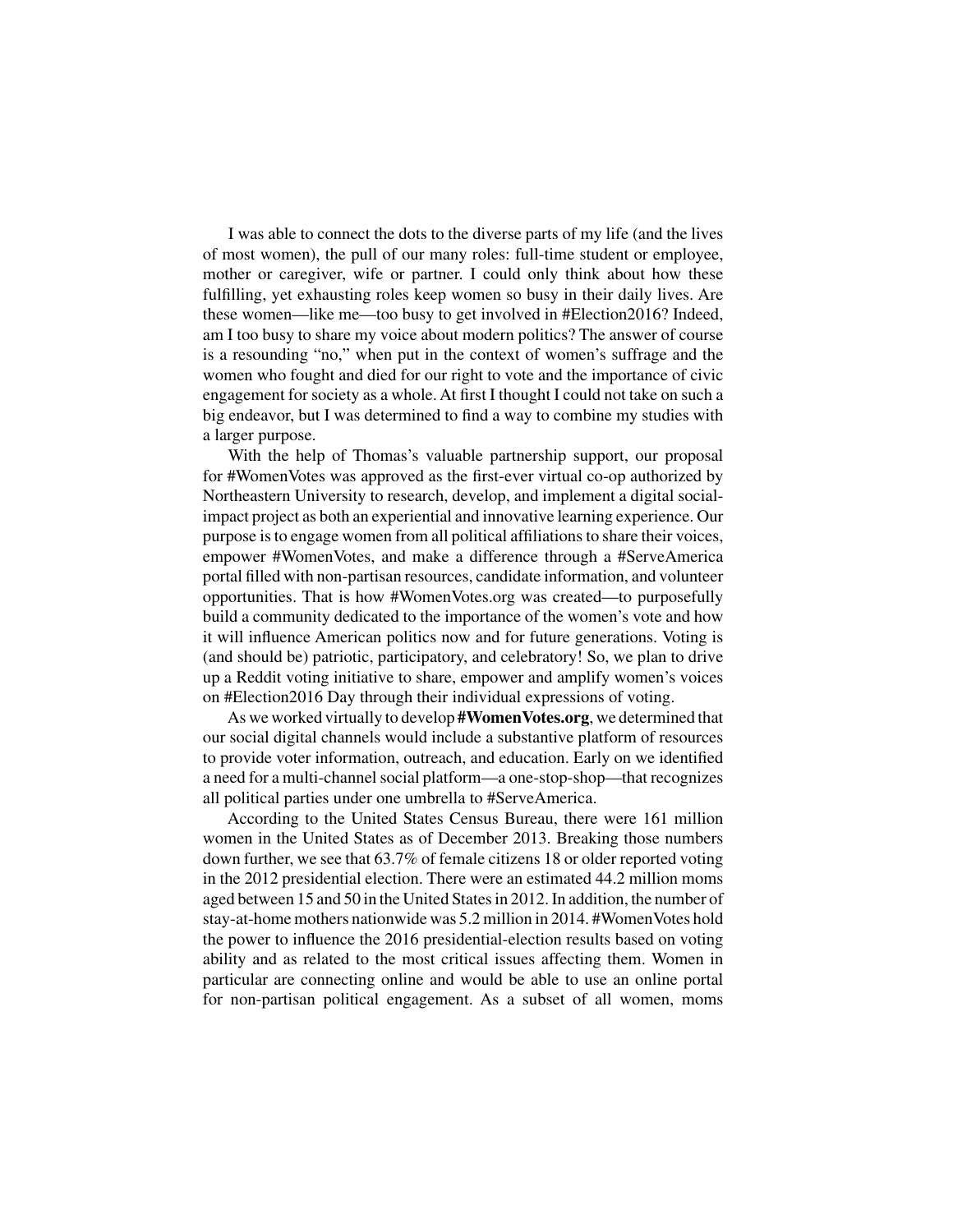I was able to connect the dots to the diverse parts of my life (and the lives of most women), the pull of our many roles: full-time student or employee, mother or caregiver, wife or partner. I could only think about how these fulfilling, yet exhausting roles keep women so busy in their daily lives. Are these women—like me—too busy to get involved in #Election2016? Indeed, am I too busy to share my voice about modern politics? The answer of course is a resounding "no," when put in the context of women's suffrage and the women who fought and died for our right to vote and the importance of civic engagement for society as a whole. At first I thought I could not take on such a big endeavor, but I was determined to find a way to combine my studies with a larger purpose.

With the help of Thomas's valuable partnership support, our proposal for #WomenVotes was approved as the first-ever virtual co-op authorized by Northeastern University to research, develop, and implement a digital socialimpact project as both an experiential and innovative learning experience. Our purpose is to engage women from all political affiliations to share their voices, empower #WomenVotes, and make a difference through a #ServeAmerica portal filled with non-partisan resources, candidate information, and volunteer opportunities. That is how #WomenVotes.org was created—to purposefully build a community dedicated to the importance of the women's vote and how it will influence American politics now and for future generations. Voting is (and should be) patriotic, participatory, and celebratory! So, we plan to drive up a Reddit voting initiative to share, empower and amplify women's voices on #Election2016 Day through their individual expressions of voting.

As we worked virtually to develop **#WomenVotes.org**, we determined that our social digital channels would include a substantive platform of resources to provide voter information, outreach, and education. Early on we identified a need for a multi-channel social platform—a one-stop-shop—that recognizes all political parties under one umbrella to #ServeAmerica.

According to the United States Census Bureau, there were 161 million women in the United States as of December 2013. Breaking those numbers down further, we see that 63.7% of female citizens 18 or older reported voting in the 2012 presidential election. There were an estimated 44.2 million moms aged between 15 and 50 in the United States in 2012. In addition, the number of stay-at-home mothers nationwide was 5.2 million in 2014. #WomenVotes hold the power to influence the 2016 presidential-election results based on voting ability and as related to the most critical issues affecting them. Women in particular are connecting online and would be able to use an online portal for non-partisan political engagement. As a subset of all women, moms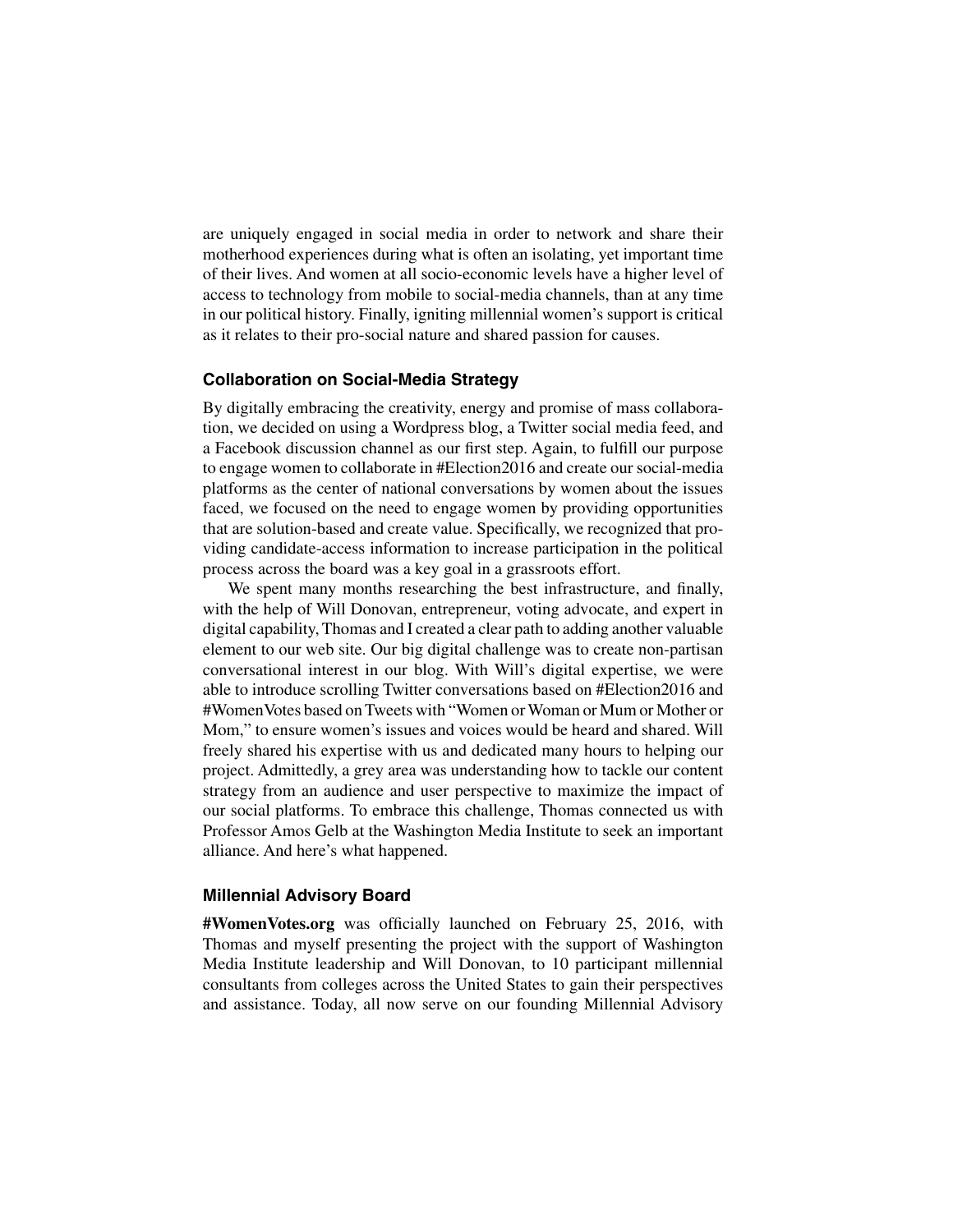are uniquely engaged in social media in order to network and share their motherhood experiences during what is often an isolating, yet important time of their lives. And women at all socio-economic levels have a higher level of access to technology from mobile to social-media channels, than at any time in our political history. Finally, igniting millennial women's support is critical as it relates to their pro-social nature and shared passion for causes.

### **Collaboration on Social-Media Strategy**

By digitally embracing the creativity, energy and promise of mass collaboration, we decided on using a Wordpress blog, a Twitter social media feed, and a Facebook discussion channel as our first step. Again, to fulfill our purpose to engage women to collaborate in #Election2016 and create our social-media platforms as the center of national conversations by women about the issues faced, we focused on the need to engage women by providing opportunities that are solution-based and create value. Specifically, we recognized that providing candidate-access information to increase participation in the political process across the board was a key goal in a grassroots effort.

We spent many months researching the best infrastructure, and finally, with the help of Will Donovan, entrepreneur, voting advocate, and expert in digital capability, Thomas and I created a clear path to adding another valuable element to our web site. Our big digital challenge was to create non-partisan conversational interest in our blog. With Will's digital expertise, we were able to introduce scrolling Twitter conversations based on #Election2016 and #WomenVotes based on Tweets with "Women or Woman or Mum or Mother or Mom," to ensure women's issues and voices would be heard and shared. Will freely shared his expertise with us and dedicated many hours to helping our project. Admittedly, a grey area was understanding how to tackle our content strategy from an audience and user perspective to maximize the impact of our social platforms. To embrace this challenge, Thomas connected us with Professor Amos Gelb at the Washington Media Institute to seek an important alliance. And here's what happened.

### **Millennial Advisory Board**

**#WomenVotes.org** was officially launched on February 25, 2016, with Thomas and myself presenting the project with the support of Washington Media Institute leadership and Will Donovan, to 10 participant millennial consultants from colleges across the United States to gain their perspectives and assistance. Today, all now serve on our founding Millennial Advisory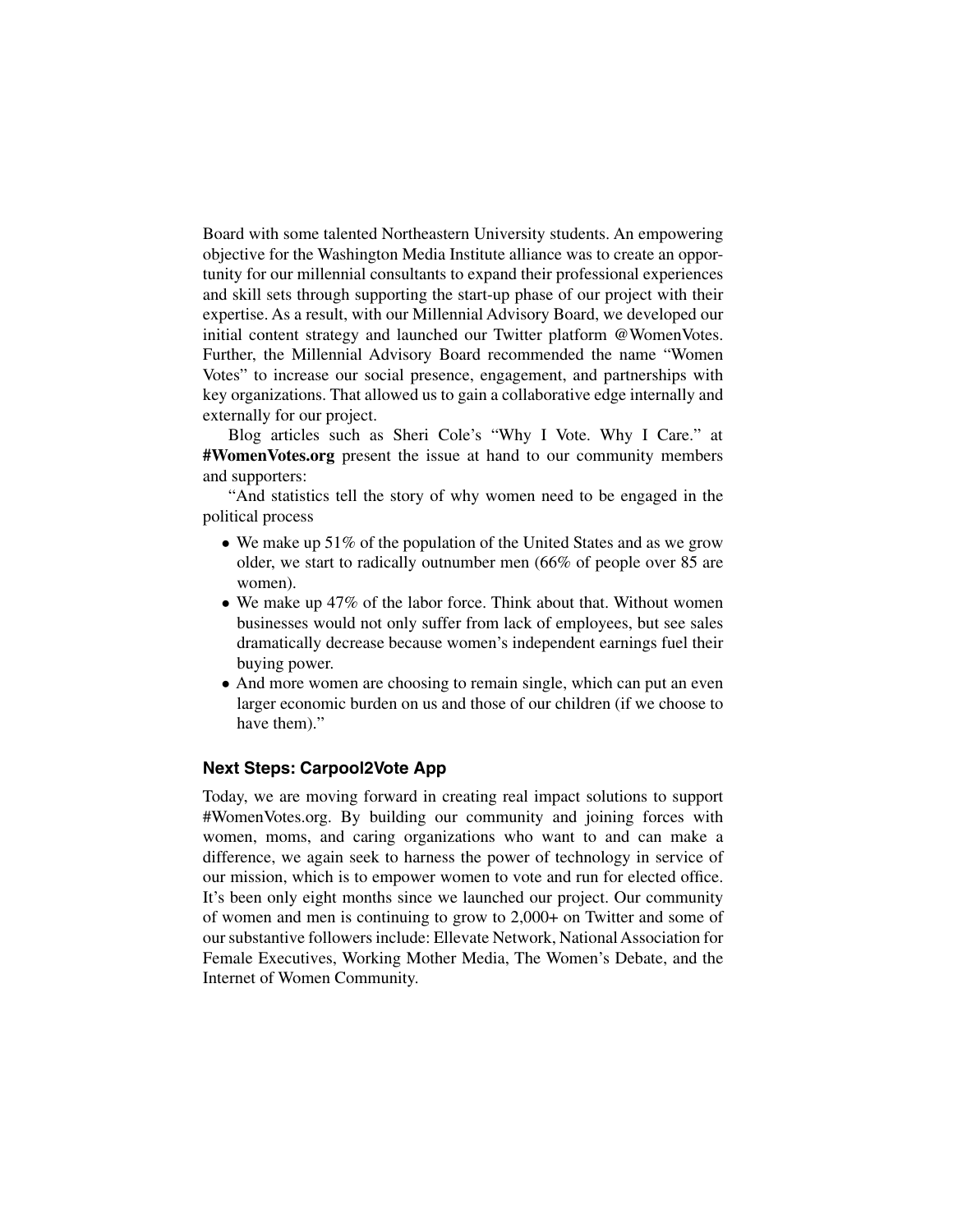Board with some talented Northeastern University students. An empowering objective for the Washington Media Institute alliance was to create an opportunity for our millennial consultants to expand their professional experiences and skill sets through supporting the start-up phase of our project with their expertise. As a result, with our Millennial Advisory Board, we developed our initial content strategy and launched our Twitter platform @WomenVotes. Further, the Millennial Advisory Board recommended the name "Women Votes" to increase our social presence, engagement, and partnerships with key organizations. That allowed us to gain a collaborative edge internally and externally for our project.

Blog articles such as Sheri Cole's "Why I Vote. Why I Care." at **#WomenVotes.org** present the issue at hand to our community members and supporters:

"And statistics tell the story of why women need to be engaged in the political process

- We make up 51% of the population of the United States and as we grow older, we start to radically outnumber men (66% of people over 85 are women).
- We make up 47% of the labor force. Think about that. Without women businesses would not only suffer from lack of employees, but see sales dramatically decrease because women's independent earnings fuel their buying power.
- And more women are choosing to remain single, which can put an even larger economic burden on us and those of our children (if we choose to have them)."

# **Next Steps: Carpool2Vote App**

Today, we are moving forward in creating real impact solutions to support #WomenVotes.org. By building our community and joining forces with women, moms, and caring organizations who want to and can make a difference, we again seek to harness the power of technology in service of our mission, which is to empower women to vote and run for elected office. It's been only eight months since we launched our project. Our community of women and men is continuing to grow to 2,000+ on Twitter and some of our substantive followers include: Ellevate Network, National Association for Female Executives, Working Mother Media, The Women's Debate, and the Internet of Women Community.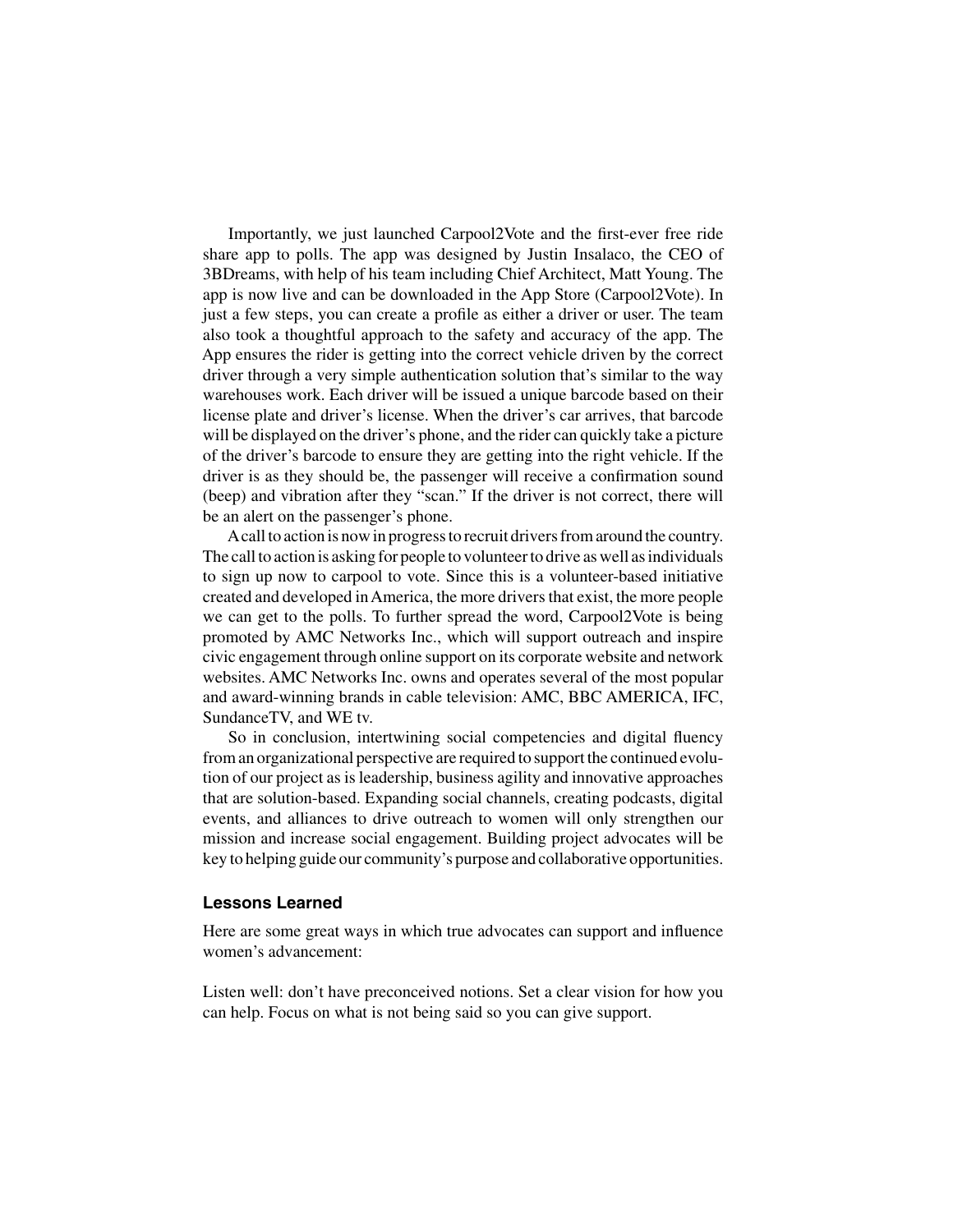Importantly, we just launched Carpool2Vote and the first-ever free ride share app to polls. The app was designed by Justin Insalaco, the CEO of 3BDreams, with help of his team including Chief Architect, Matt Young. The app is now live and can be downloaded in the App Store (Carpool2Vote). In just a few steps, you can create a profile as either a driver or user. The team also took a thoughtful approach to the safety and accuracy of the app. The App ensures the rider is getting into the correct vehicle driven by the correct driver through a very simple authentication solution that's similar to the way warehouses work. Each driver will be issued a unique barcode based on their license plate and driver's license. When the driver's car arrives, that barcode will be displayed on the driver's phone, and the rider can quickly take a picture of the driver's barcode to ensure they are getting into the right vehicle. If the driver is as they should be, the passenger will receive a confirmation sound (beep) and vibration after they "scan." If the driver is not correct, there will be an alert on the passenger's phone.

Acall to action is now in progress to recruit drivers from around the country. The call to action is asking for people to volunteer to drive as well as individuals to sign up now to carpool to vote. Since this is a volunteer-based initiative created and developed in America, the more drivers that exist, the more people we can get to the polls. To further spread the word, Carpool2Vote is being promoted by AMC Networks Inc., which will support outreach and inspire civic engagement through online support on its corporate website and network websites. AMC Networks Inc. owns and operates several of the most popular and award-winning brands in cable television: AMC, BBC AMERICA, IFC, SundanceTV, and WE tv.

So in conclusion, intertwining social competencies and digital fluency from an organizational perspective are required to support the continued evolution of our project as is leadership, business agility and innovative approaches that are solution-based. Expanding social channels, creating podcasts, digital events, and alliances to drive outreach to women will only strengthen our mission and increase social engagement. Building project advocates will be key to helping guide our community's purpose and collaborative opportunities.

#### **Lessons Learned**

Here are some great ways in which true advocates can support and influence women's advancement:

Listen well: don't have preconceived notions. Set a clear vision for how you can help. Focus on what is not being said so you can give support.